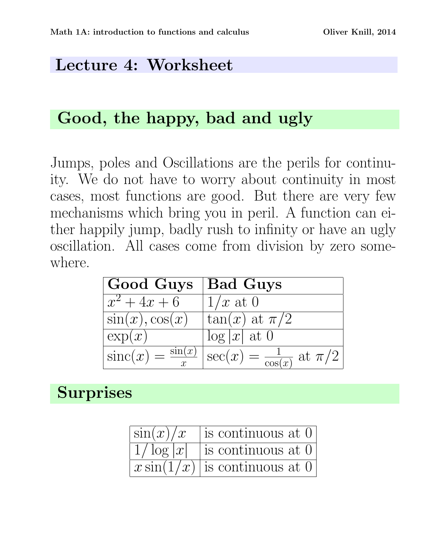#### Lecture 4: Worksheet

### Good, the happy, bad and ugly

Jumps, poles and Oscillations are the perils for continuity. We do not have to worry about continuity in most cases, most functions are good. But there are very few mechanisms which bring you in peril. A function can either happily jump, badly rush to infinity or have an ugly oscillation. All cases come from division by zero somewhere.

| Good Guys             | <b>Bad Guys</b>                                                                                     |
|-----------------------|-----------------------------------------------------------------------------------------------------|
| $\overline{x^2+4x+6}$ | $1/x$ at 0                                                                                          |
| $\sin(x), \cos(x)$    | $\tan(x)$ at $\pi/2$                                                                                |
| $\exp(x)$             | $\log  x $ at 0                                                                                     |
|                       | $\overline{\text{sinc}(x)} = \frac{\sin(x)}{x} \Big  \sec(x) = \frac{1}{\cos(x)} \text{ at } \pi/2$ |

## **Surprises**

| $\sin(x)/x$ | is continuous at 0                               |
|-------------|--------------------------------------------------|
|             | $\left 1/\log x $ is continuous at 0             |
|             | $\lfloor x \sin(1/x) \rfloor$ is continuous at 0 |